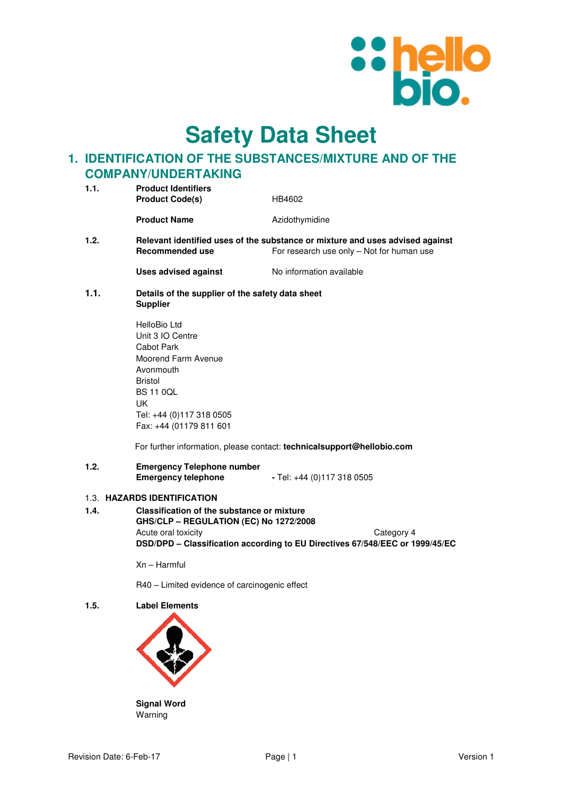

**Safety Data Sheet**

# **1. IDENTIFICATION OF THE SUBSTANCES/MIXTURE AND OF THE COMPANY/UNDERTAKING**

| 1.1. | <b>Product Identifiers</b><br><b>Product Code(s)</b>                                                                                          | HB4602                   |
|------|-----------------------------------------------------------------------------------------------------------------------------------------------|--------------------------|
|      | <b>Product Name</b>                                                                                                                           | Azidothymidine           |
| 1.2. | Relevant identified uses of the substance or mixture and uses advised against<br>For research use only – Not for human use<br>Recommended use |                          |
|      | <b>Uses advised against</b>                                                                                                                   | No information available |

**1.1. Details of the supplier of the safety data sheet Supplier** 

| HelloBio Ltd             |
|--------------------------|
| Unit 3 IO Centre         |
| Cabot Park               |
| Moorend Farm Avenue      |
| Avonmouth                |
| <b>Bristol</b>           |
| BS 11 0OL                |
| UK                       |
| Tel: +44 (0)117 318 0505 |
| Fax: +44 (01179 811 601  |

For further information, please contact: **technicalsupport@hellobio.com** 

### **1.2. Emergency Telephone number Emergency telephone** - Tel: +44 (0)117 318 0505

### 1.3. **HAZARDS IDENTIFICATION**

**1.4. Classification of the substance or mixture GHS/CLP – REGULATION (EC) No 1272/2008**  Acute oral toxicity Category 4 **DSD/DPD – Classification according to EU Directives 67/548/EEC or 1999/45/EC** 

Xn – Harmful

R40 – Limited evidence of carcinogenic effect

**1.5. Label Elements** 



**Signal Word**  Warning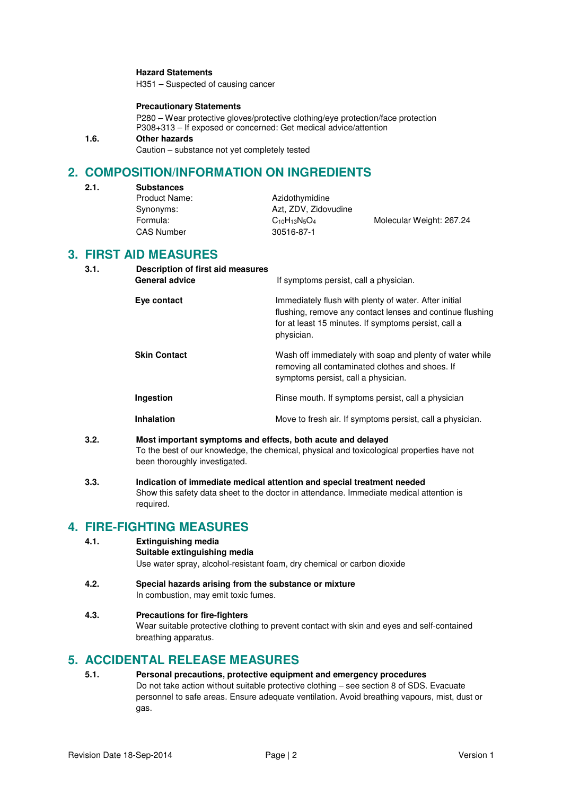### **Hazard Statements**

H351 – Suspected of causing cancer

#### **Precautionary Statements**

P280 – Wear protective gloves/protective clothing/eye protection/face protection P308+313 – If exposed or concerned: Get medical advice/attention

## **1.6. Other hazards**

Caution – substance not yet completely tested

# **2. COMPOSITION/INFORMATION ON INGREDIENTS**

| 2.1. | <b>Substances</b> |                      |                          |
|------|-------------------|----------------------|--------------------------|
|      | Product Name:     | Azidothymidine       |                          |
|      | Synonyms:         | Azt. ZDV. Zidovudine |                          |
|      | Formula:          | $C_{10}H_{13}N_5O_4$ | Molecular Weight: 267.24 |
|      | <b>CAS Number</b> | 30516-87-1           |                          |

## **3. FIRST AID MEASURES**

| 3.1. | Description of first aid measures<br><b>General advice</b> | If symptoms persist, call a physician.                                                                                                                                                   |
|------|------------------------------------------------------------|------------------------------------------------------------------------------------------------------------------------------------------------------------------------------------------|
|      | Eye contact                                                | Immediately flush with plenty of water. After initial<br>flushing, remove any contact lenses and continue flushing<br>for at least 15 minutes. If symptoms persist, call a<br>physician. |
|      | <b>Skin Contact</b>                                        | Wash off immediately with soap and plenty of water while<br>removing all contaminated clothes and shoes. If<br>symptoms persist, call a physician.                                       |
|      | Ingestion                                                  | Rinse mouth. If symptoms persist, call a physician                                                                                                                                       |
|      | Inhalation                                                 | Move to fresh air. If symptoms persist, call a physician.                                                                                                                                |
|      |                                                            |                                                                                                                                                                                          |

- **3.2. Most important symptoms and effects, both acute and delayed**  To the best of our knowledge, the chemical, physical and toxicological properties have not been thoroughly investigated.
- **3.3. Indication of immediate medical attention and special treatment needed**  Show this safety data sheet to the doctor in attendance. Immediate medical attention is required.

## **4. FIRE-FIGHTING MEASURES**

- **4.1. Extinguishing media** 
	- **Suitable extinguishing media** Use water spray, alcohol-resistant foam, dry chemical or carbon dioxide
- **4.2. Special hazards arising from the substance or mixture**  In combustion, may emit toxic fumes.

## **4.3. Precautions for fire-fighters**

Wear suitable protective clothing to prevent contact with skin and eyes and self-contained breathing apparatus.

## **5. ACCIDENTAL RELEASE MEASURES**

**5.1. Personal precautions, protective equipment and emergency procedures**  Do not take action without suitable protective clothing – see section 8 of SDS. Evacuate personnel to safe areas. Ensure adequate ventilation. Avoid breathing vapours, mist, dust or gas.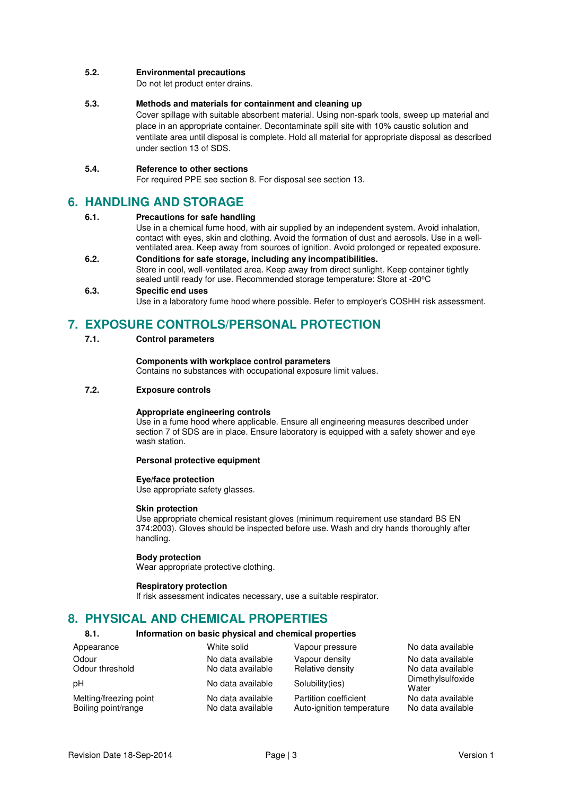### **5.2. Environmental precautions**

Do not let product enter drains.

#### **5.3. Methods and materials for containment and cleaning up**

Cover spillage with suitable absorbent material. Using non-spark tools, sweep up material and place in an appropriate container. Decontaminate spill site with 10% caustic solution and ventilate area until disposal is complete. Hold all material for appropriate disposal as described under section 13 of SDS.

#### **5.4. Reference to other sections**

For required PPE see section 8. For disposal see section 13.

## **6. HANDLING AND STORAGE**

#### **6.1. Precautions for safe handling**

Use in a chemical fume hood, with air supplied by an independent system. Avoid inhalation, contact with eyes, skin and clothing. Avoid the formation of dust and aerosols. Use in a wellventilated area. Keep away from sources of ignition. Avoid prolonged or repeated exposure.

**6.2. Conditions for safe storage, including any incompatibilities.**  Store in cool, well-ventilated area. Keep away from direct sunlight. Keep container tightly sealed until ready for use. Recommended storage temperature: Store at -20°C

#### **6.3. Specific end uses**

Use in a laboratory fume hood where possible. Refer to employer's COSHH risk assessment.

## **7. EXPOSURE CONTROLS/PERSONAL PROTECTION**

**7.1. Control parameters** 

#### **Components with workplace control parameters**

Contains no substances with occupational exposure limit values.

#### **7.2. Exposure controls**

### **Appropriate engineering controls**

Use in a fume hood where applicable. Ensure all engineering measures described under section 7 of SDS are in place. Ensure laboratory is equipped with a safety shower and eye wash station.

#### **Personal protective equipment**

## **Eye/face protection**

Use appropriate safety glasses.

#### **Skin protection**

Use appropriate chemical resistant gloves (minimum requirement use standard BS EN 374:2003). Gloves should be inspected before use. Wash and dry hands thoroughly after handling.

#### **Body protection**

Wear appropriate protective clothing.

#### **Respiratory protection**

If risk assessment indicates necessary, use a suitable respirator.

## **8. PHYSICAL AND CHEMICAL PROPERTIES**

#### **8.1. Information on basic physical and chemical properties**

| Appearance             | White solid       | Vapour pressure           | No data available          |
|------------------------|-------------------|---------------------------|----------------------------|
| Odour                  | No data available | Vapour density            | No data available          |
| Odour threshold        | No data available | Relative density          | No data available          |
| рH                     | No data available | Solubility(ies)           | Dimethylsulfoxide<br>Water |
| Melting/freezing point | No data available | Partition coefficient     | No data available          |
| Boiling point/range    | No data available | Auto-ignition temperature | No data available          |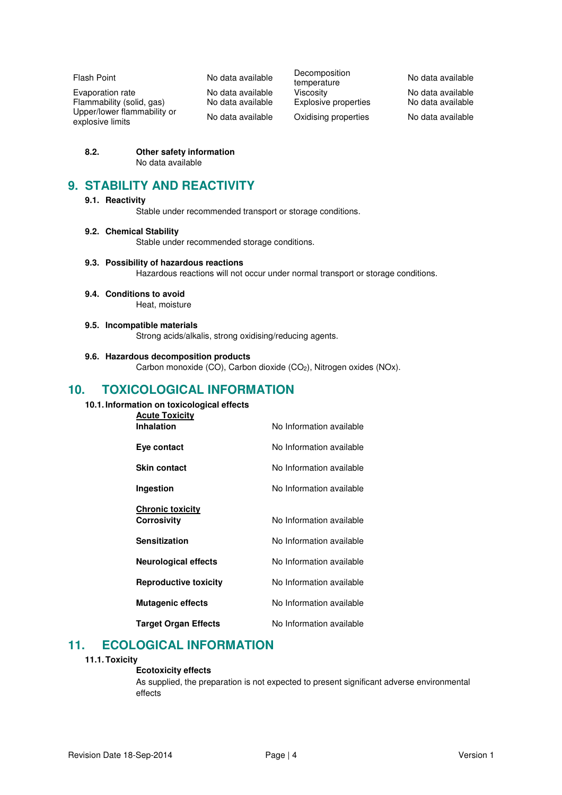Evaporation rate in a control No data available Viscosity in the No data available<br>
Flammability (solid, gas) No data available Explosive properties No data available Flammability (solid, gas) No data available Explosive properties No data available Upper/lower flammability or

Flash Point **No data available** Decomposition Decomposition<br>temperature No data available No data available Oxidising properties No data available

**8.2. Other safety information**  No data available

## **9. STABILITY AND REACTIVITY**

## **9.1. Reactivity**

Stable under recommended transport or storage conditions.

## **9.2. Chemical Stability**

Stable under recommended storage conditions.

### **9.3. Possibility of hazardous reactions**

Hazardous reactions will not occur under normal transport or storage conditions.

## **9.4. Conditions to avoid**

Heat, moisture

### **9.5. Incompatible materials**

Strong acids/alkalis, strong oxidising/reducing agents.

## **9.6. Hazardous decomposition products**

Carbon monoxide (CO), Carbon dioxide (CO<sub>2</sub>), Nitrogen oxides (NOx).

# **10. TOXICOLOGICAL INFORMATION**

## **10.1. Information on toxicological effects**

| <b>Acute Toxicity</b>        |                          |
|------------------------------|--------------------------|
| <b>Inhalation</b>            | No Information available |
| Eye contact                  | No Information available |
| <b>Skin contact</b>          | No Information available |
| Ingestion                    | No Information available |
|                              |                          |
| <b>Chronic toxicity</b>      |                          |
| Corrosivity                  | No Information available |
| <b>Sensitization</b>         | No Information available |
| <b>Neurological effects</b>  | No Information available |
| <b>Reproductive toxicity</b> | No Information available |
| <b>Mutagenic effects</b>     | No Information available |
| <b>Target Organ Effects</b>  | No Information available |

# **11. ECOLOGICAL INFORMATION**

### **11.1. Toxicity**

### **Ecotoxicity effects**

As supplied, the preparation is not expected to present significant adverse environmental effects